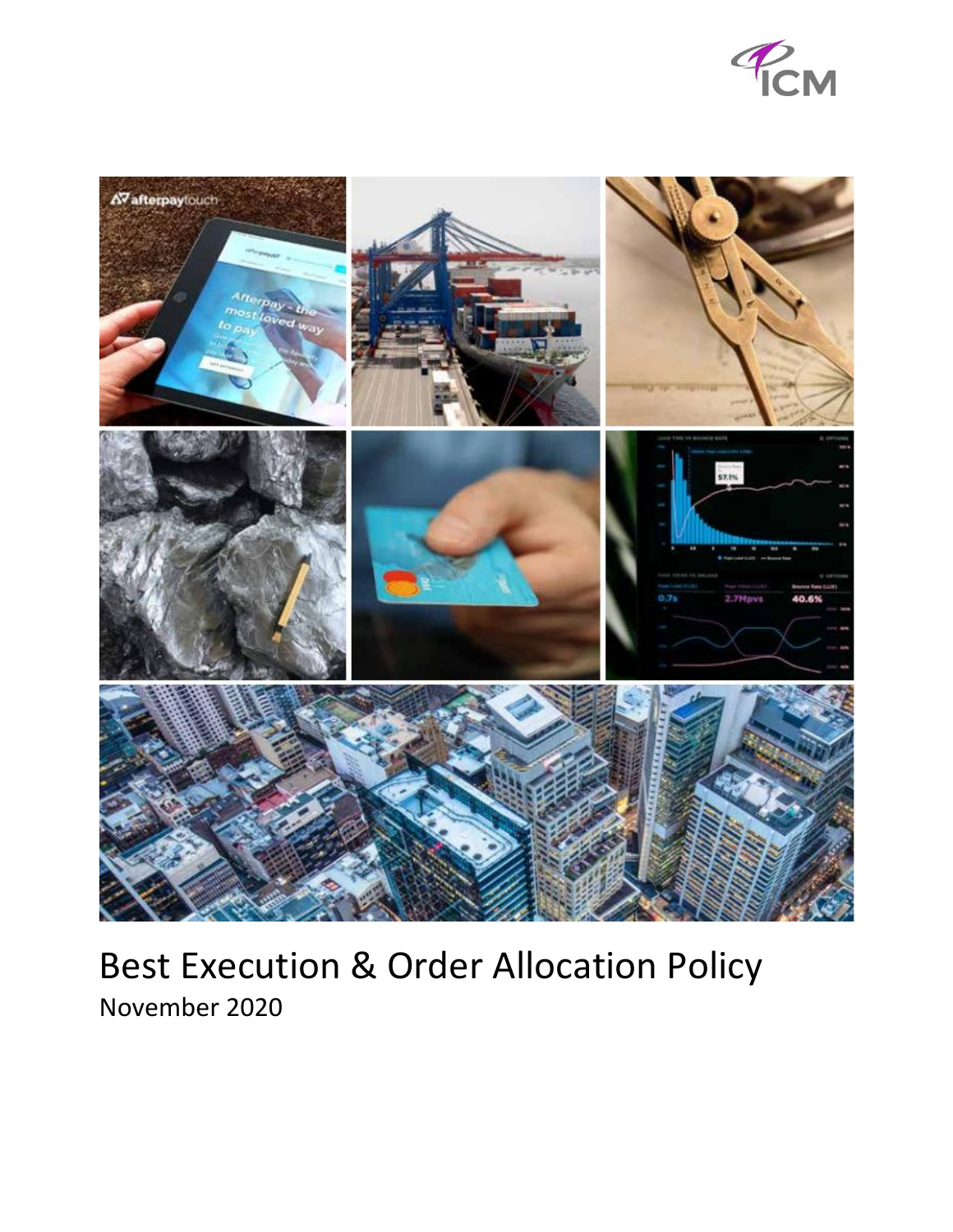



# Best Execution & Order Allocation Policy November 2020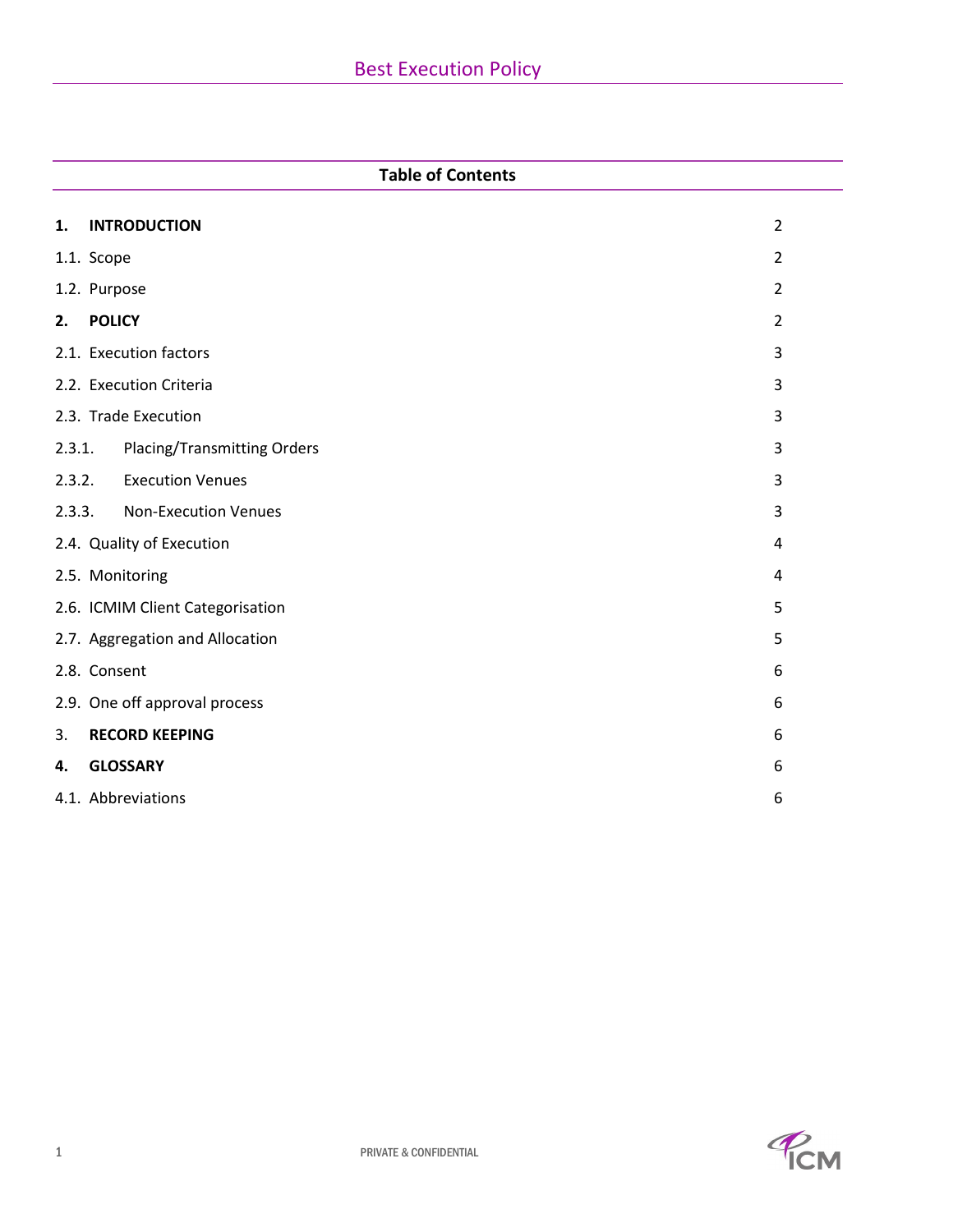# **Table of Contents**

| 1.                             | <b>INTRODUCTION</b>                  | $\overline{2}$ |  |
|--------------------------------|--------------------------------------|----------------|--|
|                                | 1.1. Scope<br>$\overline{2}$         |                |  |
|                                | 1.2. Purpose<br>$\overline{2}$       |                |  |
| 2.                             | <b>POLICY</b>                        | $\overline{2}$ |  |
|                                | 2.1. Execution factors               | 3              |  |
|                                | 2.2. Execution Criteria              | 3              |  |
|                                | 2.3. Trade Execution                 | 3              |  |
| 2.3.1.                         | Placing/Transmitting Orders          | 3              |  |
|                                | 2.3.2. Execution Venues              | 3              |  |
| 2.3.3.                         | <b>Non-Execution Venues</b>          | 3              |  |
| 2.4. Quality of Execution<br>4 |                                      |                |  |
|                                | 2.5. Monitoring<br>4                 |                |  |
|                                | 2.6. ICMIM Client Categorisation     | 5              |  |
|                                | 2.7. Aggregation and Allocation<br>5 |                |  |
|                                | 2.8. Consent<br>6                    |                |  |
|                                | 2.9. One off approval process        | 6              |  |
| 3.                             | <b>RECORD KEEPING</b>                | 6              |  |
| 4.                             | <b>GLOSSARY</b>                      | 6              |  |
|                                | 4.1. Abbreviations                   | 6              |  |
|                                |                                      |                |  |

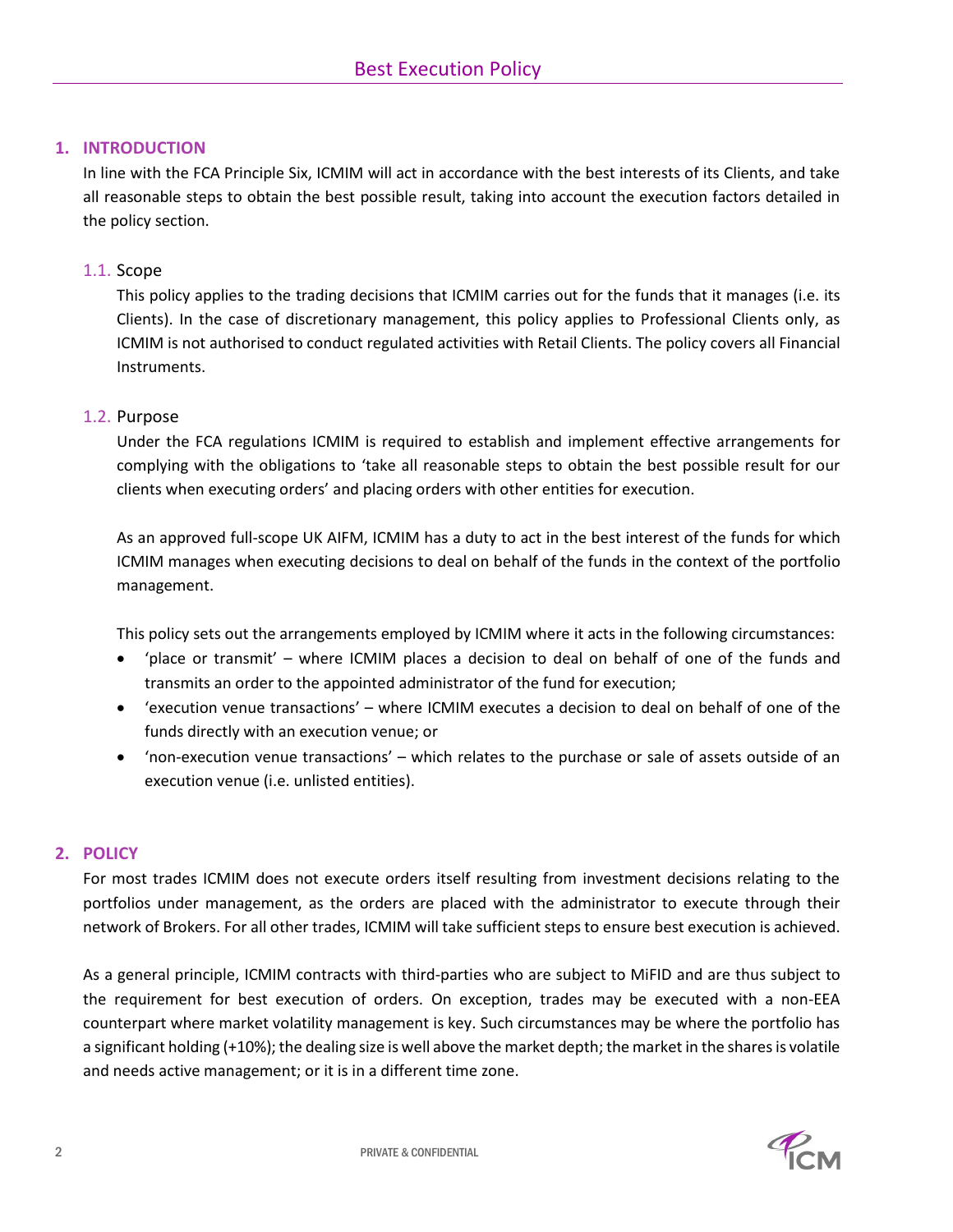## <span id="page-2-0"></span>**1. INTRODUCTION**

In line with the FCA Principle Six, ICMIM will act in accordance with the best interests of its Clients, and take all reasonable steps to obtain the best possible result, taking into account the execution factors detailed in the policy section.

### <span id="page-2-1"></span>1.1. Scope

This policy applies to the trading decisions that ICMIM carries out for the funds that it manages (i.e. its Clients). In the case of discretionary management, this policy applies to Professional Clients only, as ICMIM is not authorised to conduct regulated activities with Retail Clients. The policy covers all Financial Instruments.

#### <span id="page-2-2"></span>1.2. Purpose

Under the FCA regulations ICMIM is required to establish and implement effective arrangements for complying with the obligations to 'take all reasonable steps to obtain the best possible result for our clients when executing orders' and placing orders with other entities for execution.

As an approved full-scope UK AIFM, ICMIM has a duty to act in the best interest of the funds for which ICMIM manages when executing decisions to deal on behalf of the funds in the context of the portfolio management.

This policy sets out the arrangements employed by ICMIM where it acts in the following circumstances:

- 'place or transmit' where ICMIM places a decision to deal on behalf of one of the funds and transmits an order to the appointed administrator of the fund for execution;
- 'execution venue transactions' where ICMIM executes a decision to deal on behalf of one of the funds directly with an execution venue; or
- 'non-execution venue transactions' which relates to the purchase or sale of assets outside of an execution venue (i.e. unlisted entities).

#### <span id="page-2-3"></span>**2. POLICY**

For most trades ICMIM does not execute orders itself resulting from investment decisions relating to the portfolios under management, as the orders are placed with the administrator to execute through their network of Brokers. For all other trades, ICMIM will take sufficient steps to ensure best execution is achieved.

As a general principle, ICMIM contracts with third-parties who are subject to MiFID and are thus subject to the requirement for best execution of orders. On exception, trades may be executed with a non-EEA counterpart where market volatility management is key. Such circumstances may be where the portfolio has a significant holding (+10%); the dealing size is well above the market depth; the market in the shares is volatile and needs active management; or it is in a different time zone.

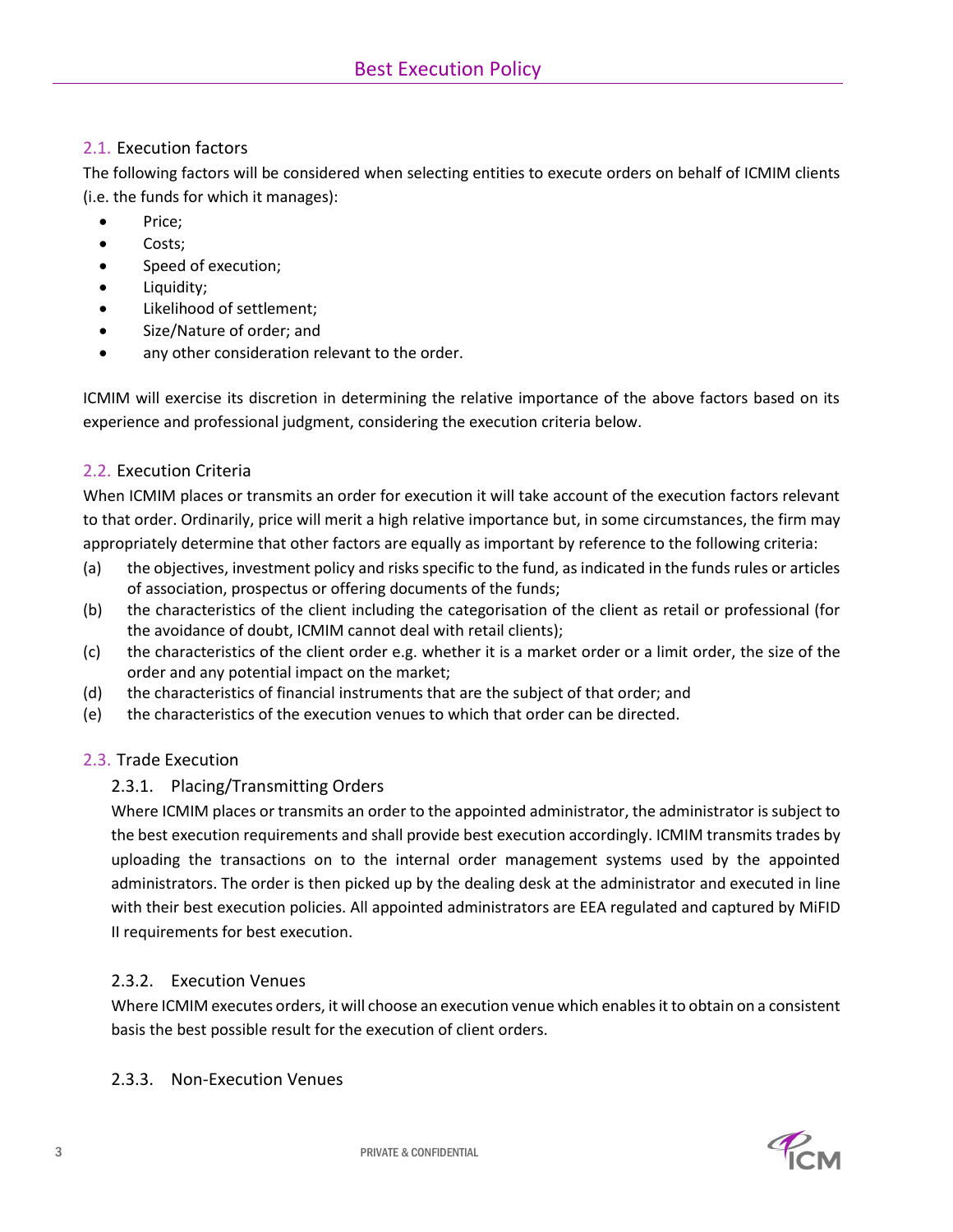## <span id="page-3-0"></span>2.1. Execution factors

The following factors will be considered when selecting entities to execute orders on behalf of ICMIM clients (i.e. the funds for which it manages):

- Price;
- Costs;
- Speed of execution;
- Liquidity;
- Likelihood of settlement;
- Size/Nature of order; and
- any other consideration relevant to the order.

ICMIM will exercise its discretion in determining the relative importance of the above factors based on its experience and professional judgment, considering the execution criteria below.

# <span id="page-3-1"></span>2.2. Execution Criteria

When ICMIM places or transmits an order for execution it will take account of the execution factors relevant to that order. Ordinarily, price will merit a high relative importance but, in some circumstances, the firm may appropriately determine that other factors are equally as important by reference to the following criteria:

- (a) the objectives, investment policy and risks specific to the fund, as indicated in the funds rules or articles of association, prospectus or offering documents of the funds;
- (b) the characteristics of the client including the categorisation of the client as retail or professional (for the avoidance of doubt, ICMIM cannot deal with retail clients);
- (c) the characteristics of the client order e.g. whether it is a market order or a limit order, the size of the order and any potential impact on the market;
- (d) the characteristics of financial instruments that are the subject of that order; and
- (e) the characteristics of the execution venues to which that order can be directed.

# <span id="page-3-2"></span>2.3. Trade Execution

# <span id="page-3-3"></span>2.3.1. Placing/Transmitting Orders

Where ICMIM places or transmits an order to the appointed administrator, the administrator is subject to the best execution requirements and shall provide best execution accordingly. ICMIM transmits trades by uploading the transactions on to the internal order management systems used by the appointed administrators. The order is then picked up by the dealing desk at the administrator and executed in line with their best execution policies. All appointed administrators are EEA regulated and captured by MiFID II requirements for best execution.

# <span id="page-3-4"></span>2.3.2. Execution Venues

Where ICMIM executes orders, it will choose an execution venue which enables it to obtain on a consistent basis the best possible result for the execution of client orders.

## <span id="page-3-5"></span>2.3.3. Non-Execution Venues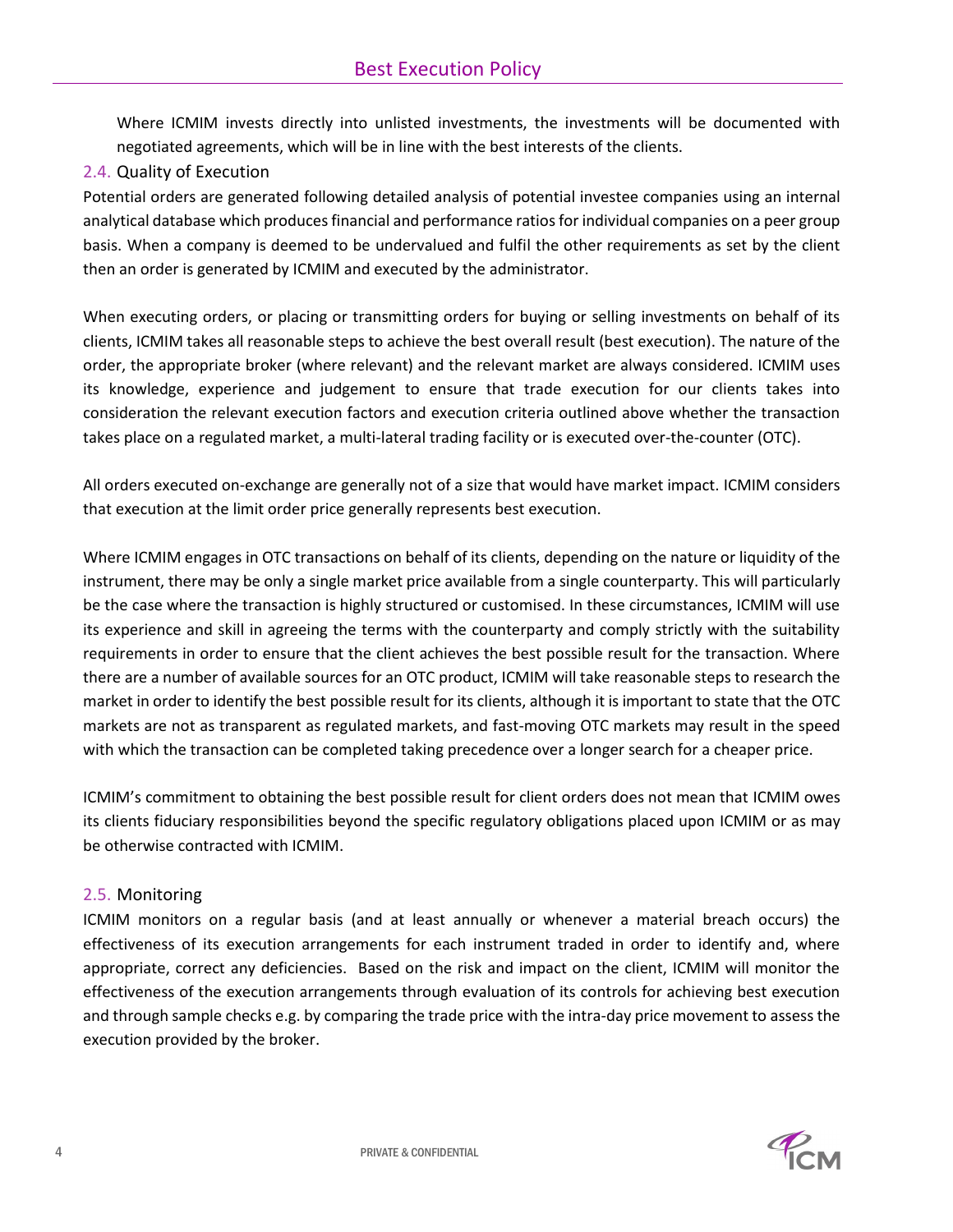Where ICMIM invests directly into unlisted investments, the investments will be documented with negotiated agreements, which will be in line with the best interests of the clients.

<span id="page-4-0"></span>2.4. Quality of Execution

Potential orders are generated following detailed analysis of potential investee companies using an internal analytical database which produces financial and performance ratios for individual companies on a peer group basis. When a company is deemed to be undervalued and fulfil the other requirements as set by the client then an order is generated by ICMIM and executed by the administrator.

When executing orders, or placing or transmitting orders for buying or selling investments on behalf of its clients, ICMIM takes all reasonable steps to achieve the best overall result (best execution). The nature of the order, the appropriate broker (where relevant) and the relevant market are always considered. ICMIM uses its knowledge, experience and judgement to ensure that trade execution for our clients takes into consideration the relevant execution factors and execution criteria outlined above whether the transaction takes place on a regulated market, a multi-lateral trading facility or is executed over-the-counter (OTC).

All orders executed on-exchange are generally not of a size that would have market impact. ICMIM considers that execution at the limit order price generally represents best execution.

Where ICMIM engages in OTC transactions on behalf of its clients, depending on the nature or liquidity of the instrument, there may be only a single market price available from a single counterparty. This will particularly be the case where the transaction is highly structured or customised. In these circumstances, ICMIM will use its experience and skill in agreeing the terms with the counterparty and comply strictly with the suitability requirements in order to ensure that the client achieves the best possible result for the transaction. Where there are a number of available sources for an OTC product, ICMIM will take reasonable steps to research the market in order to identify the best possible result for its clients, although it is important to state that the OTC markets are not as transparent as regulated markets, and fast-moving OTC markets may result in the speed with which the transaction can be completed taking precedence over a longer search for a cheaper price.

ICMIM's commitment to obtaining the best possible result for client orders does not mean that ICMIM owes its clients fiduciary responsibilities beyond the specific regulatory obligations placed upon ICMIM or as may be otherwise contracted with ICMIM.

# <span id="page-4-1"></span>2.5. Monitoring

ICMIM monitors on a regular basis (and at least annually or whenever a material breach occurs) the effectiveness of its execution arrangements for each instrument traded in order to identify and, where appropriate, correct any deficiencies. Based on the risk and impact on the client, ICMIM will monitor the effectiveness of the execution arrangements through evaluation of its controls for achieving best execution and through sample checks e.g. by comparing the trade price with the intra-day price movement to assess the execution provided by the broker.

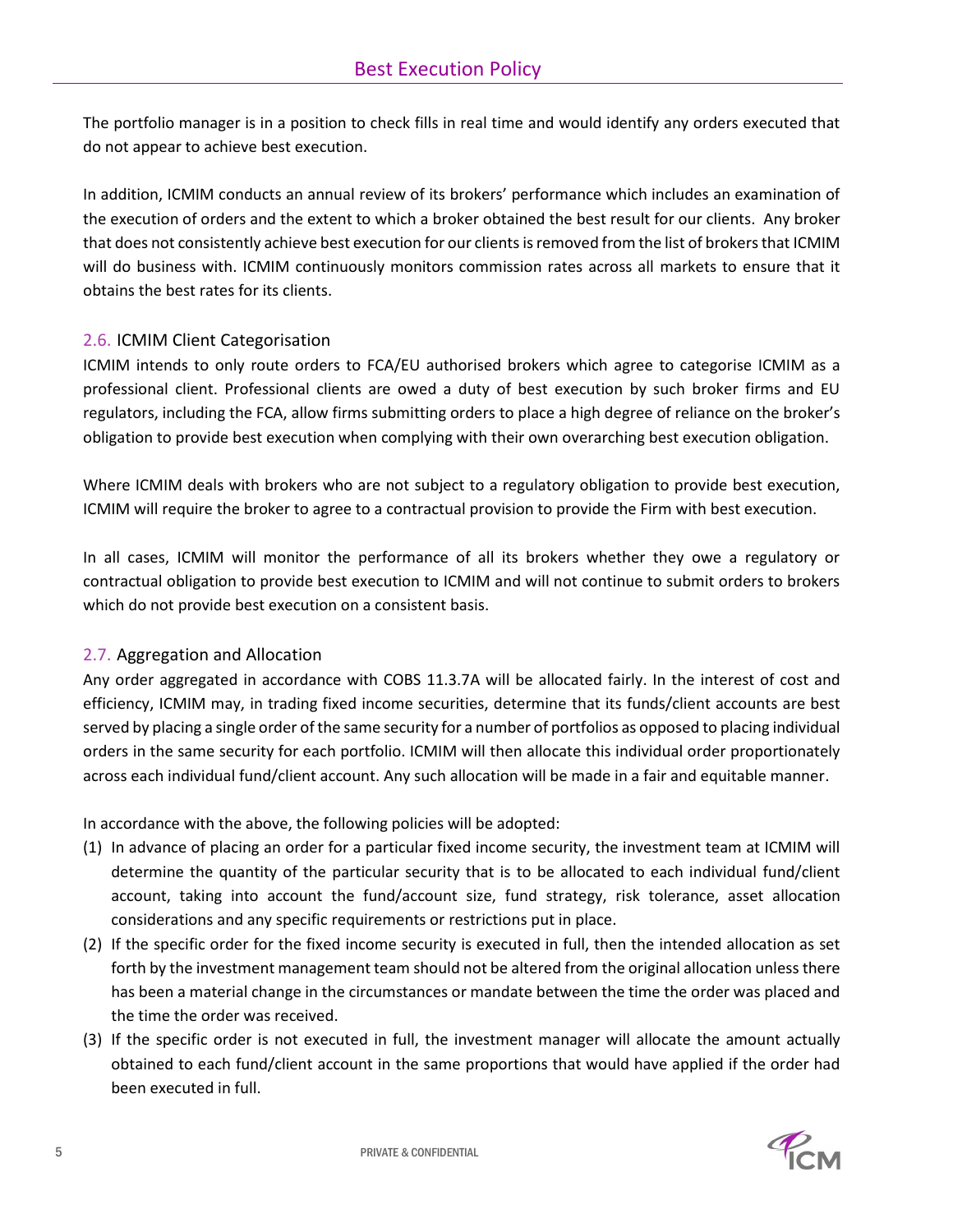The portfolio manager is in a position to check fills in real time and would identify any orders executed that do not appear to achieve best execution.

In addition, ICMIM conducts an annual review of its brokers' performance which includes an examination of the execution of orders and the extent to which a broker obtained the best result for our clients. Any broker that does not consistently achieve best execution for our clients is removed from the list of brokers that ICMIM will do business with. ICMIM continuously monitors commission rates across all markets to ensure that it obtains the best rates for its clients.

## <span id="page-5-0"></span>2.6. ICMIM Client Categorisation

ICMIM intends to only route orders to FCA/EU authorised brokers which agree to categorise ICMIM as a professional client. Professional clients are owed a duty of best execution by such broker firms and EU regulators, including the FCA, allow firms submitting orders to place a high degree of reliance on the broker's obligation to provide best execution when complying with their own overarching best execution obligation.

Where ICMIM deals with brokers who are not subject to a regulatory obligation to provide best execution, ICMIM will require the broker to agree to a contractual provision to provide the Firm with best execution.

In all cases, ICMIM will monitor the performance of all its brokers whether they owe a regulatory or contractual obligation to provide best execution to ICMIM and will not continue to submit orders to brokers which do not provide best execution on a consistent basis.

## <span id="page-5-1"></span>2.7. Aggregation and Allocation

Any order aggregated in accordance with COBS 11.3.7A will be allocated fairly. In the interest of cost and efficiency, ICMIM may, in trading fixed income securities, determine that its funds/client accounts are best served by placing a single order of the same security for a number of portfolios as opposed to placing individual orders in the same security for each portfolio. ICMIM will then allocate this individual order proportionately across each individual fund/client account. Any such allocation will be made in a fair and equitable manner.

In accordance with the above, the following policies will be adopted:

- (1) In advance of placing an order for a particular fixed income security, the investment team at ICMIM will determine the quantity of the particular security that is to be allocated to each individual fund/client account, taking into account the fund/account size, fund strategy, risk tolerance, asset allocation considerations and any specific requirements or restrictions put in place.
- (2) If the specific order for the fixed income security is executed in full, then the intended allocation as set forth by the investment management team should not be altered from the original allocation unless there has been a material change in the circumstances or mandate between the time the order was placed and the time the order was received.
- (3) If the specific order is not executed in full, the investment manager will allocate the amount actually obtained to each fund/client account in the same proportions that would have applied if the order had been executed in full.